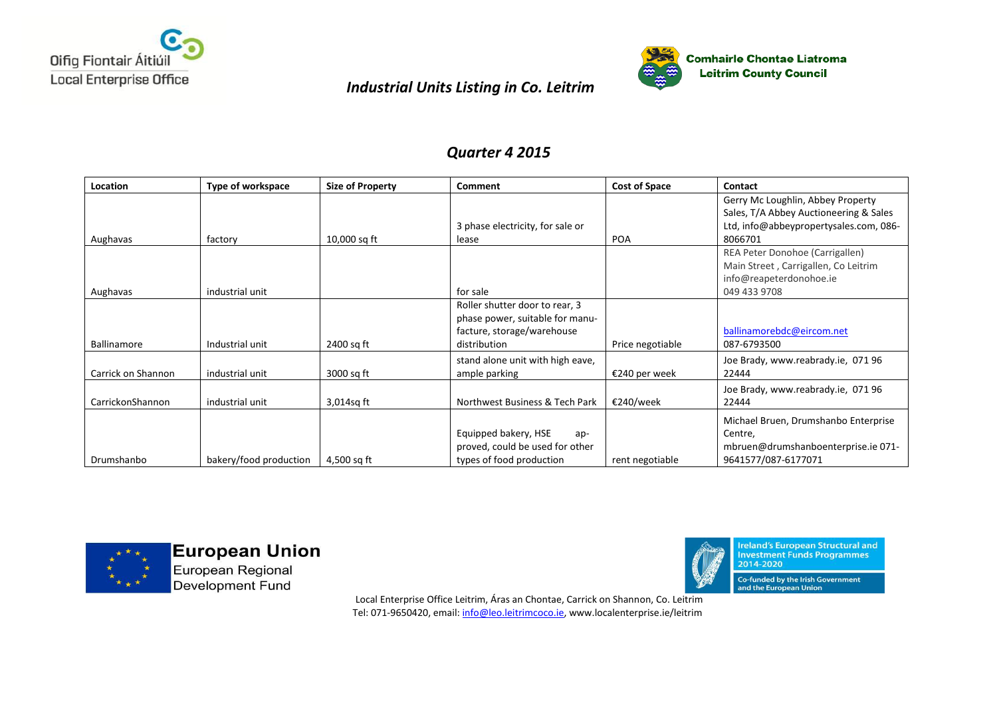

## *Industrial Units Listing in Co. Leitrim*



## *Quarter 4 2015*

| Location           | Type of workspace      | <b>Size of Property</b> | Comment                          | <b>Cost of Space</b> | Contact                                |
|--------------------|------------------------|-------------------------|----------------------------------|----------------------|----------------------------------------|
|                    |                        |                         |                                  |                      | Gerry Mc Loughlin, Abbey Property      |
|                    |                        |                         |                                  |                      | Sales, T/A Abbey Auctioneering & Sales |
|                    |                        |                         | 3 phase electricity, for sale or |                      | Ltd, info@abbeypropertysales.com, 086- |
| Aughavas           | factory                | 10,000 sq ft            | lease                            | <b>POA</b>           | 8066701                                |
|                    |                        |                         |                                  |                      | REA Peter Donohoe (Carrigallen)        |
|                    |                        |                         |                                  |                      | Main Street, Carrigallen, Co Leitrim   |
|                    |                        |                         |                                  |                      | info@reapeterdonohoe.ie                |
| Aughavas           | industrial unit        |                         | for sale                         |                      | 049 433 9708                           |
|                    |                        |                         | Roller shutter door to rear, 3   |                      |                                        |
|                    |                        |                         | phase power, suitable for manu-  |                      |                                        |
|                    |                        |                         | facture, storage/warehouse       |                      | ballinamorebdc@eircom.net              |
| Ballinamore        | Industrial unit        | 2400 sq ft              | distribution                     | Price negotiable     | 087-6793500                            |
|                    |                        |                         | stand alone unit with high eave, |                      | Joe Brady, www.reabrady.ie, 07196      |
| Carrick on Shannon | industrial unit        | 3000 sq ft              | ample parking                    | €240 per week        | 22444                                  |
|                    |                        |                         |                                  |                      | Joe Brady, www.reabrady.ie, 07196      |
| CarrickonShannon   | industrial unit        | 3,014sq ft              | Northwest Business & Tech Park   | €240/week            | 22444                                  |
|                    |                        |                         |                                  |                      | Michael Bruen, Drumshanbo Enterprise   |
|                    |                        |                         | Equipped bakery, HSE<br>ap-      |                      | Centre,                                |
|                    |                        |                         | proved, could be used for other  |                      | mbruen@drumshanboenterprise.ie 071-    |
| Drumshanbo         | bakery/food production | 4,500 sq ft             | types of food production         | rent negotiable      | 9641577/087-6177071                    |





European Regional **Development Fund** 



**Ireland's European Structural and<br>Investment Funds Programmes** 2014-2020

Co-funded by the Irish Government<br>and the European Union

Local Enterprise Office Leitrim, Áras an Chontae, Carrick on Shannon, Co. Leitrim Tel: 071-9650420, email: info@leo.leitrimcoco.ie, www.localenterprise.ie/leitrim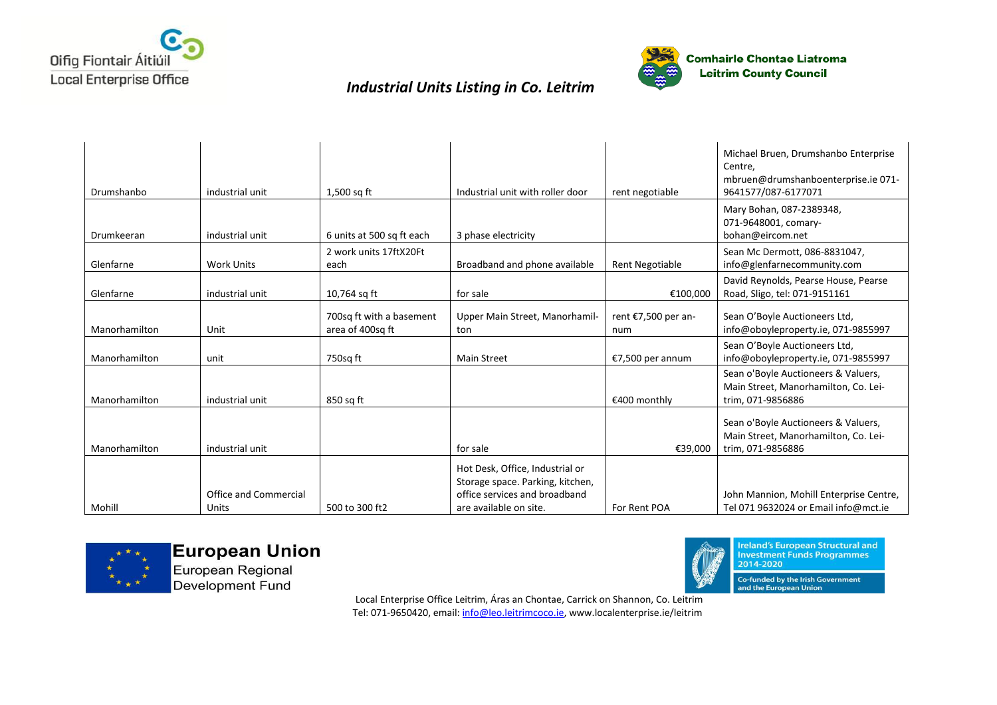

## *Industrial Units Listing in Co. Leitrim*



| Drumshanbo    | industrial unit                       | $1,500$ sq ft                                | Industrial unit with roller door                                                                                               | rent negotiable            | Michael Bruen, Drumshanbo Enterprise<br>Centre,<br>mbruen@drumshanboenterprise.ie 071-<br>9641577/087-6177071 |
|---------------|---------------------------------------|----------------------------------------------|--------------------------------------------------------------------------------------------------------------------------------|----------------------------|---------------------------------------------------------------------------------------------------------------|
| Drumkeeran    | industrial unit                       | 6 units at 500 sq ft each                    | 3 phase electricity                                                                                                            |                            | Mary Bohan, 087-2389348,<br>071-9648001, comary-<br>bohan@eircom.net                                          |
| Glenfarne     | <b>Work Units</b>                     | 2 work units 17ftX20Ft<br>each               | Broadband and phone available                                                                                                  | <b>Rent Negotiable</b>     | Sean Mc Dermott, 086-8831047,<br>info@glenfarnecommunity.com                                                  |
| Glenfarne     | industrial unit                       | 10,764 sq ft                                 | for sale                                                                                                                       | €100,000                   | David Reynolds, Pearse House, Pearse<br>Road, Sligo, tel: 071-9151161                                         |
| Manorhamilton | Unit                                  | 700sq ft with a basement<br>area of 400sq ft | Upper Main Street, Manorhamil-<br>ton                                                                                          | rent €7,500 per an-<br>num | Sean O'Boyle Auctioneers Ltd,<br>info@oboyleproperty.ie, 071-9855997                                          |
| Manorhamilton | unit                                  | 750sq ft                                     | <b>Main Street</b>                                                                                                             | €7,500 per annum           | Sean O'Boyle Auctioneers Ltd,<br>info@oboyleproperty.ie, 071-9855997                                          |
| Manorhamilton | industrial unit                       | 850 sq ft                                    |                                                                                                                                | €400 monthly               | Sean o'Boyle Auctioneers & Valuers,<br>Main Street, Manorhamilton, Co. Lei-<br>trim, 071-9856886              |
| Manorhamilton | industrial unit                       |                                              | for sale                                                                                                                       | €39,000                    | Sean o'Boyle Auctioneers & Valuers,<br>Main Street, Manorhamilton, Co. Lei-<br>trim, 071-9856886              |
| Mohill        | <b>Office and Commercial</b><br>Units | 500 to 300 ft2                               | Hot Desk, Office, Industrial or<br>Storage space. Parking, kitchen,<br>office services and broadband<br>are available on site. | For Rent POA               | John Mannion, Mohill Enterprise Centre,<br>Tel 071 9632024 or Email info@mct.ie                               |







**Ireland's European Structural and<br>Investment Funds Programmes** 2014-2020 Co-funded by the Irish Government<br>and the European Union

Local Enterprise Office Leitrim, Áras an Chontae, Carrick on Shannon, Co. Leitrim Tel: 071-9650420, email: info@leo.leitrimcoco.ie, www.localenterprise.ie/leitrim